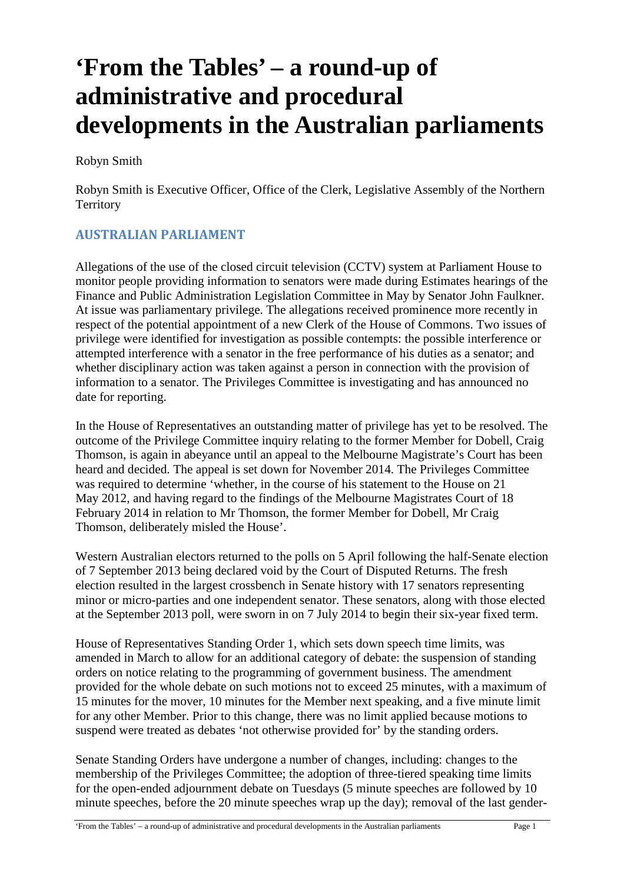# **'From the Tables' – a round-up of administrative and procedural developments in the Australian parliaments**

Robyn Smith

Robyn Smith is Executive Officer, Office of the Clerk, Legislative Assembly of the Northern **Territory** 

# **AUSTRALIAN PARLIAMENT**

Allegations of the use of the closed circuit television (CCTV) system at Parliament House to monitor people providing information to senators were made during Estimates hearings of the Finance and Public Administration Legislation Committee in May by Senator John Faulkner. At issue was parliamentary privilege. The allegations received prominence more recently in respect of the potential appointment of a new Clerk of the House of Commons. Two issues of privilege were identified for investigation as possible contempts: the possible interference or attempted interference with a senator in the free performance of his duties as a senator; and whether disciplinary action was taken against a person in connection with the provision of information to a senator. The Privileges Committee is investigating and has announced no date for reporting.

In the House of Representatives an outstanding matter of privilege has yet to be resolved. The outcome of the Privilege Committee inquiry relating to the former Member for Dobell, Craig Thomson, is again in abeyance until an appeal to the Melbourne Magistrate's Court has been heard and decided. The appeal is set down for November 2014. The Privileges Committee was required to determine 'whether, in the course of his statement to the House on 21 May 2012, and having regard to the findings of the Melbourne Magistrates Court of 18 February 2014 in relation to Mr Thomson, the former Member for Dobell, Mr Craig Thomson, deliberately misled the House'.

Western Australian electors returned to the polls on 5 April following the half-Senate election of 7 September 2013 being declared void by the Court of Disputed Returns. The fresh election resulted in the largest crossbench in Senate history with 17 senators representing minor or micro-parties and one independent senator. These senators, along with those elected at the September 2013 poll, were sworn in on 7 July 2014 to begin their six-year fixed term.

House of Representatives Standing Order 1, which sets down speech time limits, was amended in March to allow for an additional category of debate: the suspension of standing orders on notice relating to the programming of government business. The amendment provided for the whole debate on such motions not to exceed 25 minutes, with a maximum of 15 minutes for the mover, 10 minutes for the Member next speaking, and a five minute limit for any other Member. Prior to this change, there was no limit applied because motions to suspend were treated as debates 'not otherwise provided for' by the standing orders.

Senate Standing Orders have undergone a number of changes, including: changes to the membership of the Privileges Committee; the adoption of three-tiered speaking time limits for the open-ended adjournment debate on Tuesdays (5 minute speeches are followed by 10 minute speeches, before the 20 minute speeches wrap up the day); removal of the last gender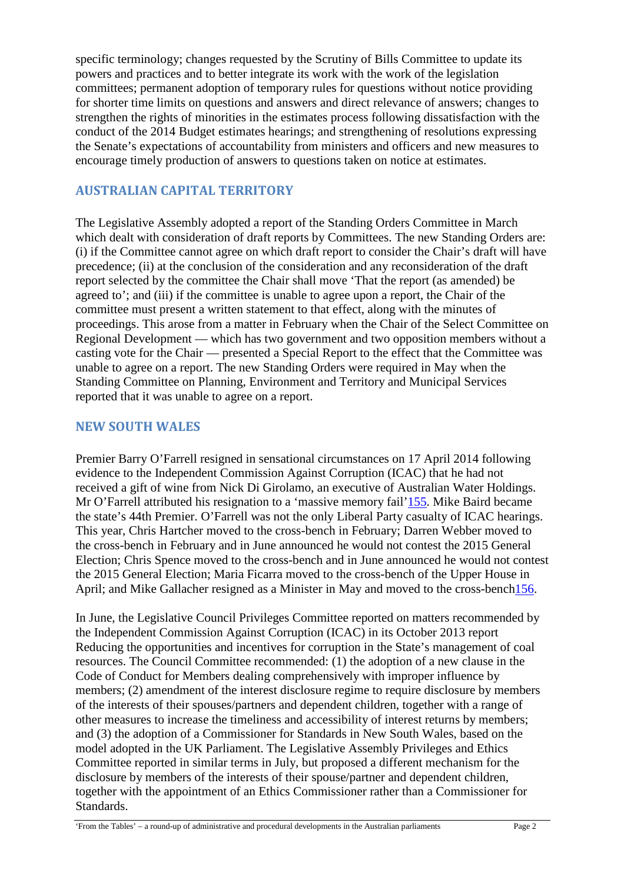specific terminology; changes requested by the Scrutiny of Bills Committee to update its powers and practices and to better integrate its work with the work of the legislation committees; permanent adoption of temporary rules for questions without notice providing for shorter time limits on questions and answers and direct relevance of answers; changes to strengthen the rights of minorities in the estimates process following dissatisfaction with the conduct of the 2014 Budget estimates hearings; and strengthening of resolutions expressing the Senate's expectations of accountability from ministers and officers and new measures to encourage timely production of answers to questions taken on notice at estimates.

## **AUSTRALIAN CAPITAL TERRITORY**

The Legislative Assembly adopted a report of the Standing Orders Committee in March which dealt with consideration of draft reports by Committees. The new Standing Orders are: (i) if the Committee cannot agree on which draft report to consider the Chair's draft will have precedence; (ii) at the conclusion of the consideration and any reconsideration of the draft report selected by the committee the Chair shall move 'That the report (as amended) be agreed to'; and (iii) if the committee is unable to agree upon a report, the Chair of the committee must present a written statement to that effect, along with the minutes of proceedings. This arose from a matter in February when the Chair of the Select Committee on Regional Development — which has two government and two opposition members without a casting vote for the Chair — presented a Special Report to the effect that the Committee was unable to agree on a report. The new Standing Orders were required in May when the Standing Committee on Planning, Environment and Territory and Municipal Services reported that it was unable to agree on a report.

## **NEW SOUTH WALES**

Premier Barry O'Farrell resigned in sensational circumstances on 17 April 2014 following evidence to the Independent Commission Against Corruption (ICAC) that he had not received a gift of wine from Nick Di Girolamo, an executive of Australian Water Holdings. Mr O'Farrell attributed his resignation to a 'massive memory fail'155. Mike Baird became the state's 44th Premier. O'Farrell was not the only Liberal Party casualty of ICAC hearings. This year, Chris Hartcher moved to the cross-bench in February; Darren Webber moved to the cross-bench in February and in June announced he would not contest the 2015 General Election; Chris Spence moved to the cross-bench and in June announced he would not contest the 2015 General Election; Maria Ficarra moved to the cross-bench of the Upper House in April; and Mike Gallacher resigned as a Minister in May and moved to the cross-bench156.

In June, the Legislative Council Privileges Committee reported on matters recommended by the Independent Commission Against Corruption (ICAC) in its October 2013 report Reducing the opportunities and incentives for corruption in the State's management of coal resources. The Council Committee recommended: (1) the adoption of a new clause in the Code of Conduct for Members dealing comprehensively with improper influence by members; (2) amendment of the interest disclosure regime to require disclosure by members of the interests of their spouses/partners and dependent children, together with a range of other measures to increase the timeliness and accessibility of interest returns by members; and (3) the adoption of a Commissioner for Standards in New South Wales, based on the model adopted in the UK Parliament. The Legislative Assembly Privileges and Ethics Committee reported in similar terms in July, but proposed a different mechanism for the disclosure by members of the interests of their spouse/partner and dependent children, together with the appointment of an Ethics Commissioner rather than a Commissioner for Standards.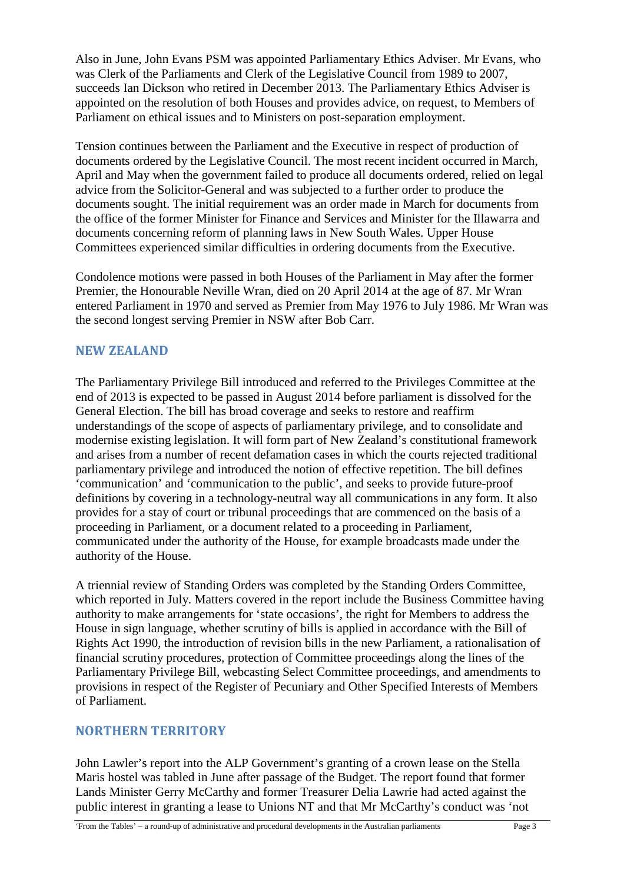Also in June, John Evans PSM was appointed Parliamentary Ethics Adviser. Mr Evans, who was Clerk of the Parliaments and Clerk of the Legislative Council from 1989 to 2007, succeeds Ian Dickson who retired in December 2013. The Parliamentary Ethics Adviser is appointed on the resolution of both Houses and provides advice, on request, to Members of Parliament on ethical issues and to Ministers on post-separation employment.

Tension continues between the Parliament and the Executive in respect of production of documents ordered by the Legislative Council. The most recent incident occurred in March, April and May when the government failed to produce all documents ordered, relied on legal advice from the Solicitor-General and was subjected to a further order to produce the documents sought. The initial requirement was an order made in March for documents from the office of the former Minister for Finance and Services and Minister for the Illawarra and documents concerning reform of planning laws in New South Wales. Upper House Committees experienced similar difficulties in ordering documents from the Executive.

Condolence motions were passed in both Houses of the Parliament in May after the former Premier, the Honourable Neville Wran, died on 20 April 2014 at the age of 87. Mr Wran entered Parliament in 1970 and served as Premier from May 1976 to July 1986. Mr Wran was the second longest serving Premier in NSW after Bob Carr.

## **NEW ZEALAND**

The Parliamentary Privilege Bill introduced and referred to the Privileges Committee at the end of 2013 is expected to be passed in August 2014 before parliament is dissolved for the General Election. The bill has broad coverage and seeks to restore and reaffirm understandings of the scope of aspects of parliamentary privilege, and to consolidate and modernise existing legislation. It will form part of New Zealand's constitutional framework and arises from a number of recent defamation cases in which the courts rejected traditional parliamentary privilege and introduced the notion of effective repetition. The bill defines 'communication' and 'communication to the public', and seeks to provide future-proof definitions by covering in a technology-neutral way all communications in any form. It also provides for a stay of court or tribunal proceedings that are commenced on the basis of a proceeding in Parliament, or a document related to a proceeding in Parliament, communicated under the authority of the House, for example broadcasts made under the authority of the House.

A triennial review of Standing Orders was completed by the Standing Orders Committee, which reported in July. Matters covered in the report include the Business Committee having authority to make arrangements for 'state occasions', the right for Members to address the House in sign language, whether scrutiny of bills is applied in accordance with the Bill of Rights Act 1990, the introduction of revision bills in the new Parliament, a rationalisation of financial scrutiny procedures, protection of Committee proceedings along the lines of the Parliamentary Privilege Bill, webcasting Select Committee proceedings, and amendments to provisions in respect of the Register of Pecuniary and Other Specified Interests of Members of Parliament.

## **NORTHERN TERRITORY**

John Lawler's report into the ALP Government's granting of a crown lease on the Stella Maris hostel was tabled in June after passage of the Budget. The report found that former Lands Minister Gerry McCarthy and former Treasurer Delia Lawrie had acted against the public interest in granting a lease to Unions NT and that Mr McCarthy's conduct was 'not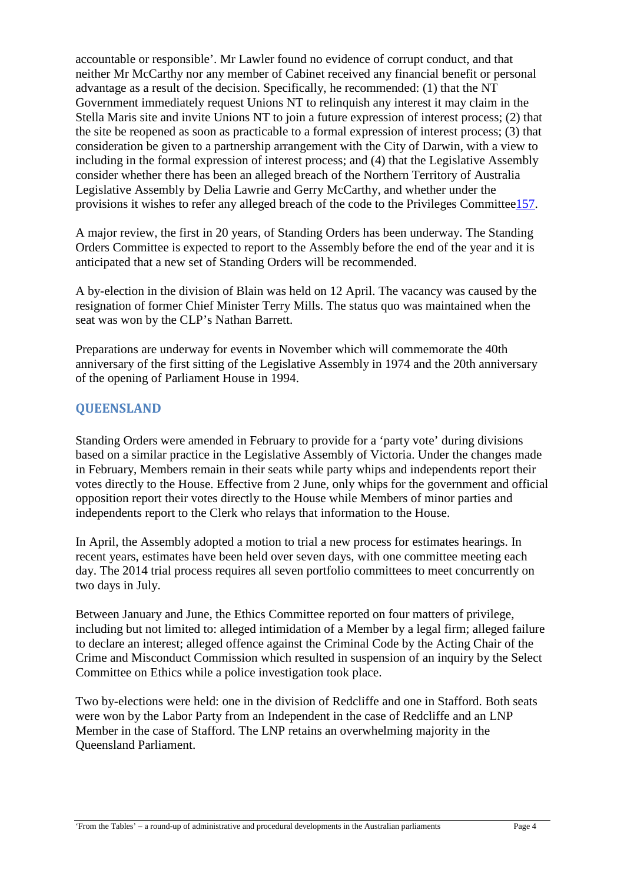accountable or responsible'. Mr Lawler found no evidence of corrupt conduct, and that neither Mr McCarthy nor any member of Cabinet received any financial benefit or personal advantage as a result of the decision. Specifically, he recommended: (1) that the NT Government immediately request Unions NT to relinquish any interest it may claim in the Stella Maris site and invite Unions NT to join a future expression of interest process; (2) that the site be reopened as soon as practicable to a formal expression of interest process; (3) that consideration be given to a partnership arrangement with the City of Darwin, with a view to including in the formal expression of interest process; and (4) that the Legislative Assembly consider whether there has been an alleged breach of the Northern Territory of Australia Legislative Assembly by Delia Lawrie and Gerry McCarthy, and whether under the provisions it wishes to refer any alleged breach of the code to the Privileges Committee157.

A major review, the first in 20 years, of Standing Orders has been underway. The Standing Orders Committee is expected to report to the Assembly before the end of the year and it is anticipated that a new set of Standing Orders will be recommended.

A by-election in the division of Blain was held on 12 April. The vacancy was caused by the resignation of former Chief Minister Terry Mills. The status quo was maintained when the seat was won by the CLP's Nathan Barrett.

Preparations are underway for events in November which will commemorate the 40th anniversary of the first sitting of the Legislative Assembly in 1974 and the 20th anniversary of the opening of Parliament House in 1994.

## **QUEENSLAND**

Standing Orders were amended in February to provide for a 'party vote' during divisions based on a similar practice in the Legislative Assembly of Victoria. Under the changes made in February, Members remain in their seats while party whips and independents report their votes directly to the House. Effective from 2 June, only whips for the government and official opposition report their votes directly to the House while Members of minor parties and independents report to the Clerk who relays that information to the House.

In April, the Assembly adopted a motion to trial a new process for estimates hearings. In recent years, estimates have been held over seven days, with one committee meeting each day. The 2014 trial process requires all seven portfolio committees to meet concurrently on two days in July.

Between January and June, the Ethics Committee reported on four matters of privilege, including but not limited to: alleged intimidation of a Member by a legal firm; alleged failure to declare an interest; alleged offence against the Criminal Code by the Acting Chair of the Crime and Misconduct Commission which resulted in suspension of an inquiry by the Select Committee on Ethics while a police investigation took place.

Two by-elections were held: one in the division of Redcliffe and one in Stafford. Both seats were won by the Labor Party from an Independent in the case of Redcliffe and an LNP Member in the case of Stafford. The LNP retains an overwhelming majority in the Queensland Parliament.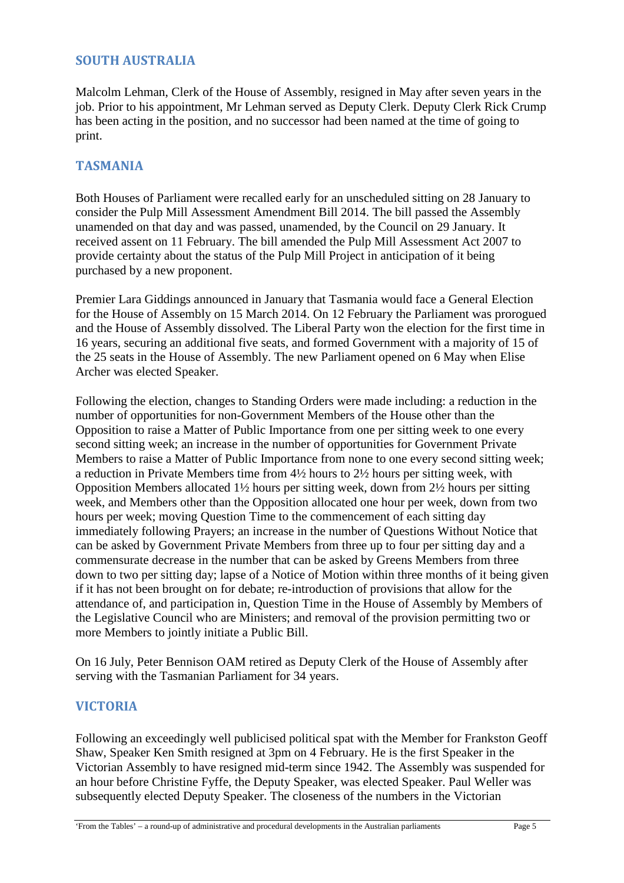## **SOUTH AUSTRALIA**

Malcolm Lehman, Clerk of the House of Assembly, resigned in May after seven years in the job. Prior to his appointment, Mr Lehman served as Deputy Clerk. Deputy Clerk Rick Crump has been acting in the position, and no successor had been named at the time of going to print.

#### **TASMANIA**

Both Houses of Parliament were recalled early for an unscheduled sitting on 28 January to consider the Pulp Mill Assessment Amendment Bill 2014. The bill passed the Assembly unamended on that day and was passed, unamended, by the Council on 29 January. It received assent on 11 February. The bill amended the Pulp Mill Assessment Act 2007 to provide certainty about the status of the Pulp Mill Project in anticipation of it being purchased by a new proponent.

Premier Lara Giddings announced in January that Tasmania would face a General Election for the House of Assembly on 15 March 2014. On 12 February the Parliament was prorogued and the House of Assembly dissolved. The Liberal Party won the election for the first time in 16 years, securing an additional five seats, and formed Government with a majority of 15 of the 25 seats in the House of Assembly. The new Parliament opened on 6 May when Elise Archer was elected Speaker.

Following the election, changes to Standing Orders were made including: a reduction in the number of opportunities for non-Government Members of the House other than the Opposition to raise a Matter of Public Importance from one per sitting week to one every second sitting week; an increase in the number of opportunities for Government Private Members to raise a Matter of Public Importance from none to one every second sitting week; a reduction in Private Members time from 4½ hours to 2½ hours per sitting week, with Opposition Members allocated 1½ hours per sitting week, down from 2½ hours per sitting week, and Members other than the Opposition allocated one hour per week, down from two hours per week; moving Question Time to the commencement of each sitting day immediately following Prayers; an increase in the number of Questions Without Notice that can be asked by Government Private Members from three up to four per sitting day and a commensurate decrease in the number that can be asked by Greens Members from three down to two per sitting day; lapse of a Notice of Motion within three months of it being given if it has not been brought on for debate; re-introduction of provisions that allow for the attendance of, and participation in, Question Time in the House of Assembly by Members of the Legislative Council who are Ministers; and removal of the provision permitting two or more Members to jointly initiate a Public Bill.

On 16 July, Peter Bennison OAM retired as Deputy Clerk of the House of Assembly after serving with the Tasmanian Parliament for 34 years.

#### **VICTORIA**

Following an exceedingly well publicised political spat with the Member for Frankston Geoff Shaw, Speaker Ken Smith resigned at 3pm on 4 February. He is the first Speaker in the Victorian Assembly to have resigned mid-term since 1942. The Assembly was suspended for an hour before Christine Fyffe, the Deputy Speaker, was elected Speaker. Paul Weller was subsequently elected Deputy Speaker. The closeness of the numbers in the Victorian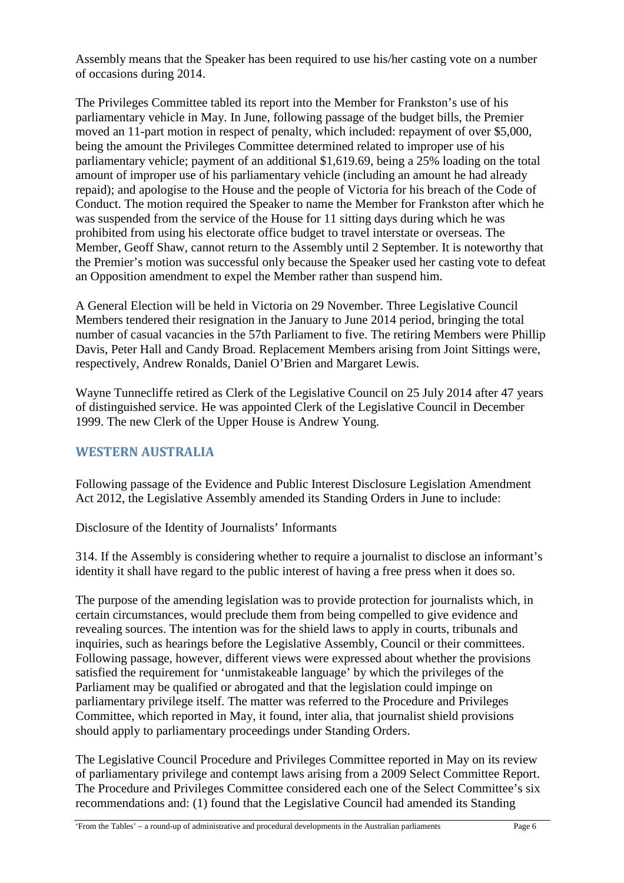Assembly means that the Speaker has been required to use his/her casting vote on a number of occasions during 2014.

The Privileges Committee tabled its report into the Member for Frankston's use of his parliamentary vehicle in May. In June, following passage of the budget bills, the Premier moved an 11-part motion in respect of penalty, which included: repayment of over \$5,000, being the amount the Privileges Committee determined related to improper use of his parliamentary vehicle; payment of an additional \$1,619.69, being a 25% loading on the total amount of improper use of his parliamentary vehicle (including an amount he had already repaid); and apologise to the House and the people of Victoria for his breach of the Code of Conduct. The motion required the Speaker to name the Member for Frankston after which he was suspended from the service of the House for 11 sitting days during which he was prohibited from using his electorate office budget to travel interstate or overseas. The Member, Geoff Shaw, cannot return to the Assembly until 2 September. It is noteworthy that the Premier's motion was successful only because the Speaker used her casting vote to defeat an Opposition amendment to expel the Member rather than suspend him.

A General Election will be held in Victoria on 29 November. Three Legislative Council Members tendered their resignation in the January to June 2014 period, bringing the total number of casual vacancies in the 57th Parliament to five. The retiring Members were Phillip Davis, Peter Hall and Candy Broad. Replacement Members arising from Joint Sittings were, respectively, Andrew Ronalds, Daniel O'Brien and Margaret Lewis.

Wayne Tunnecliffe retired as Clerk of the Legislative Council on 25 July 2014 after 47 years of distinguished service. He was appointed Clerk of the Legislative Council in December 1999. The new Clerk of the Upper House is Andrew Young.

## **WESTERN AUSTRALIA**

Following passage of the Evidence and Public Interest Disclosure Legislation Amendment Act 2012, the Legislative Assembly amended its Standing Orders in June to include:

Disclosure of the Identity of Journalists' Informants

314. If the Assembly is considering whether to require a journalist to disclose an informant's identity it shall have regard to the public interest of having a free press when it does so.

The purpose of the amending legislation was to provide protection for journalists which, in certain circumstances, would preclude them from being compelled to give evidence and revealing sources. The intention was for the shield laws to apply in courts, tribunals and inquiries, such as hearings before the Legislative Assembly, Council or their committees. Following passage, however, different views were expressed about whether the provisions satisfied the requirement for 'unmistakeable language' by which the privileges of the Parliament may be qualified or abrogated and that the legislation could impinge on parliamentary privilege itself. The matter was referred to the Procedure and Privileges Committee, which reported in May, it found, inter alia, that journalist shield provisions should apply to parliamentary proceedings under Standing Orders.

The Legislative Council Procedure and Privileges Committee reported in May on its review of parliamentary privilege and contempt laws arising from a 2009 Select Committee Report. The Procedure and Privileges Committee considered each one of the Select Committee's six recommendations and: (1) found that the Legislative Council had amended its Standing